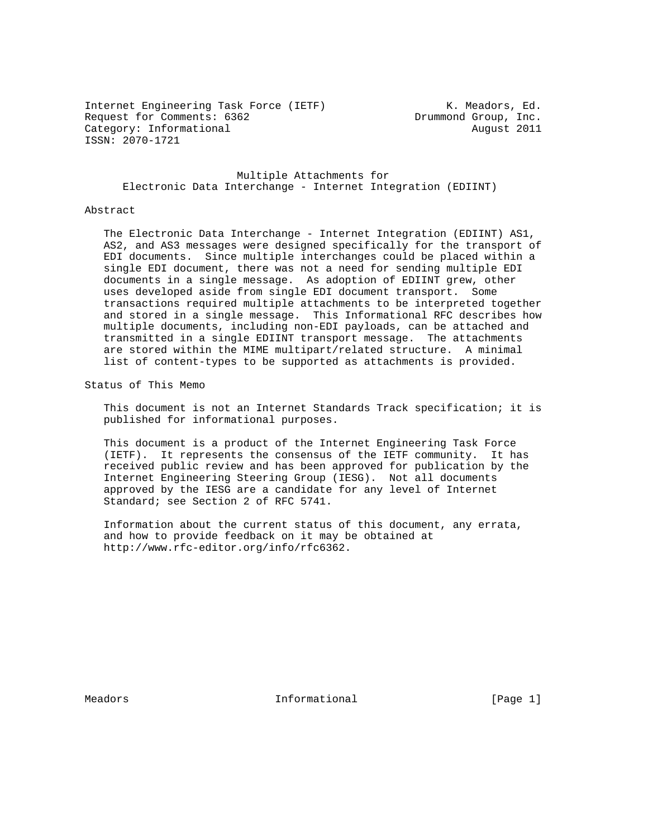Internet Engineering Task Force (IETF) The Music R. Meadors, Ed. Internet Engineering Task Force (IBIF)<br>Request for Comments: 6362 Drummond Group, Inc. Category: Informational and Category: Informational ISSN: 2070-1721

 Multiple Attachments for Electronic Data Interchange - Internet Integration (EDIINT)

#### Abstract

 The Electronic Data Interchange - Internet Integration (EDIINT) AS1, AS2, and AS3 messages were designed specifically for the transport of EDI documents. Since multiple interchanges could be placed within a single EDI document, there was not a need for sending multiple EDI documents in a single message. As adoption of EDIINT grew, other uses developed aside from single EDI document transport. Some transactions required multiple attachments to be interpreted together and stored in a single message. This Informational RFC describes how multiple documents, including non-EDI payloads, can be attached and transmitted in a single EDIINT transport message. The attachments are stored within the MIME multipart/related structure. A minimal list of content-types to be supported as attachments is provided.

Status of This Memo

 This document is not an Internet Standards Track specification; it is published for informational purposes.

 This document is a product of the Internet Engineering Task Force (IETF). It represents the consensus of the IETF community. It has received public review and has been approved for publication by the Internet Engineering Steering Group (IESG). Not all documents approved by the IESG are a candidate for any level of Internet Standard; see Section 2 of RFC 5741.

 Information about the current status of this document, any errata, and how to provide feedback on it may be obtained at http://www.rfc-editor.org/info/rfc6362.

Meadors **Informational Informational** [Page 1]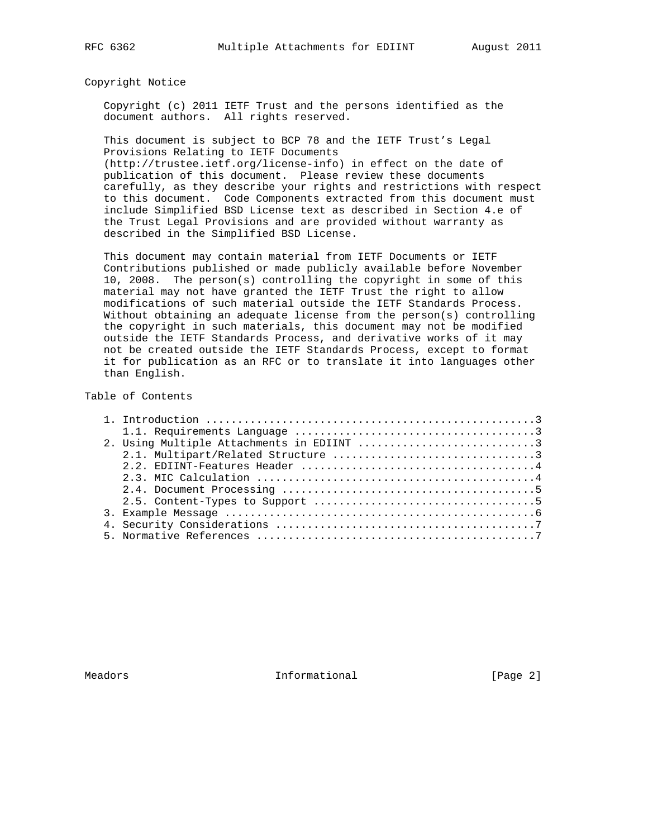#### Copyright Notice

 Copyright (c) 2011 IETF Trust and the persons identified as the document authors. All rights reserved.

 This document is subject to BCP 78 and the IETF Trust's Legal Provisions Relating to IETF Documents

 (http://trustee.ietf.org/license-info) in effect on the date of publication of this document. Please review these documents carefully, as they describe your rights and restrictions with respect to this document. Code Components extracted from this document must include Simplified BSD License text as described in Section 4.e of the Trust Legal Provisions and are provided without warranty as described in the Simplified BSD License.

 This document may contain material from IETF Documents or IETF Contributions published or made publicly available before November 10, 2008. The person(s) controlling the copyright in some of this material may not have granted the IETF Trust the right to allow modifications of such material outside the IETF Standards Process. Without obtaining an adequate license from the person(s) controlling the copyright in such materials, this document may not be modified outside the IETF Standards Process, and derivative works of it may not be created outside the IETF Standards Process, except to format it for publication as an RFC or to translate it into languages other than English.

## Table of Contents

|  | 2. Using Multiple Attachments in EDIINT 3 |
|--|-------------------------------------------|
|  |                                           |
|  |                                           |
|  |                                           |
|  |                                           |
|  |                                           |
|  |                                           |
|  |                                           |
|  |                                           |

Meadors **Informational Informational** [Page 2]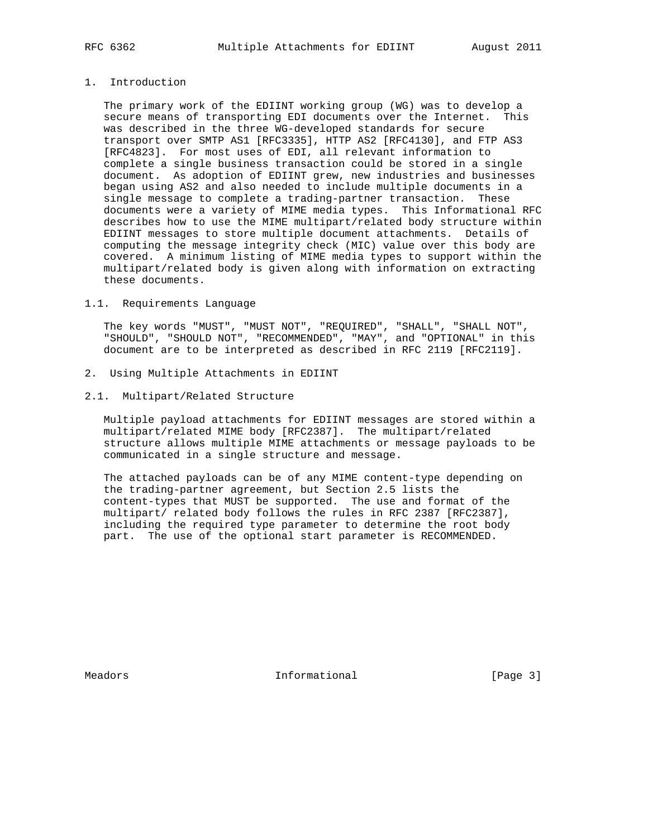# 1. Introduction

 The primary work of the EDIINT working group (WG) was to develop a secure means of transporting EDI documents over the Internet. This was described in the three WG-developed standards for secure transport over SMTP AS1 [RFC3335], HTTP AS2 [RFC4130], and FTP AS3 [RFC4823]. For most uses of EDI, all relevant information to complete a single business transaction could be stored in a single document. As adoption of EDIINT grew, new industries and businesses began using AS2 and also needed to include multiple documents in a single message to complete a trading-partner transaction. These documents were a variety of MIME media types. This Informational RFC describes how to use the MIME multipart/related body structure within EDIINT messages to store multiple document attachments. Details of computing the message integrity check (MIC) value over this body are covered. A minimum listing of MIME media types to support within the multipart/related body is given along with information on extracting these documents.

#### 1.1. Requirements Language

 The key words "MUST", "MUST NOT", "REQUIRED", "SHALL", "SHALL NOT", "SHOULD", "SHOULD NOT", "RECOMMENDED", "MAY", and "OPTIONAL" in this document are to be interpreted as described in RFC 2119 [RFC2119].

2. Using Multiple Attachments in EDIINT

### 2.1. Multipart/Related Structure

 Multiple payload attachments for EDIINT messages are stored within a multipart/related MIME body [RFC2387]. The multipart/related structure allows multiple MIME attachments or message payloads to be communicated in a single structure and message.

 The attached payloads can be of any MIME content-type depending on the trading-partner agreement, but Section 2.5 lists the content-types that MUST be supported. The use and format of the multipart/ related body follows the rules in RFC 2387 [RFC2387], including the required type parameter to determine the root body part. The use of the optional start parameter is RECOMMENDED.

Meadors **Informational Informational** [Page 3]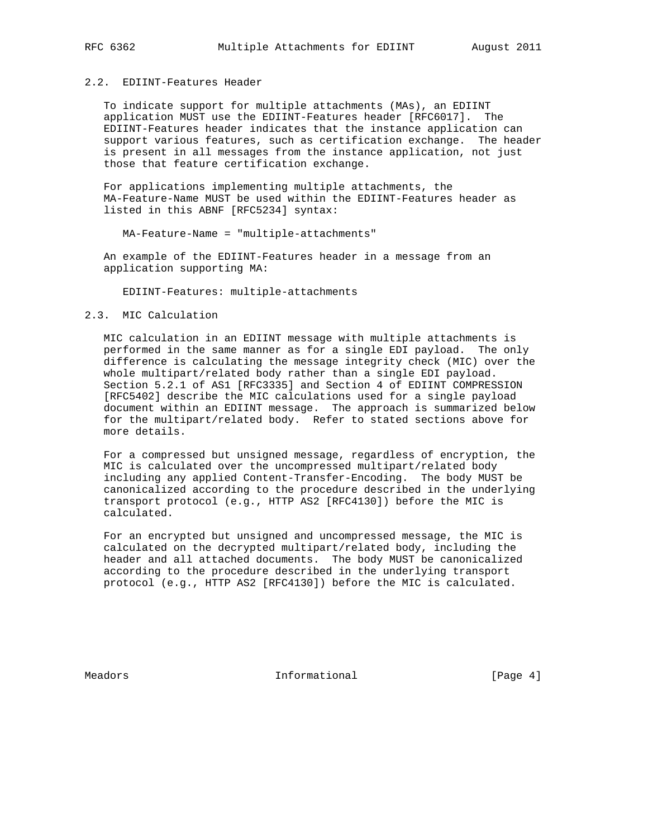# 2.2. EDIINT-Features Header

 To indicate support for multiple attachments (MAs), an EDIINT application MUST use the EDIINT-Features header [RFC6017]. The EDIINT-Features header indicates that the instance application can support various features, such as certification exchange. The header is present in all messages from the instance application, not just those that feature certification exchange.

 For applications implementing multiple attachments, the MA-Feature-Name MUST be used within the EDIINT-Features header as listed in this ABNF [RFC5234] syntax:

MA-Feature-Name = "multiple-attachments"

 An example of the EDIINT-Features header in a message from an application supporting MA:

EDIINT-Features: multiple-attachments

## 2.3. MIC Calculation

 MIC calculation in an EDIINT message with multiple attachments is performed in the same manner as for a single EDI payload. The only difference is calculating the message integrity check (MIC) over the whole multipart/related body rather than a single EDI payload. Section 5.2.1 of AS1 [RFC3335] and Section 4 of EDIINT COMPRESSION [RFC5402] describe the MIC calculations used for a single payload document within an EDIINT message. The approach is summarized below for the multipart/related body. Refer to stated sections above for more details.

 For a compressed but unsigned message, regardless of encryption, the MIC is calculated over the uncompressed multipart/related body including any applied Content-Transfer-Encoding. The body MUST be canonicalized according to the procedure described in the underlying transport protocol (e.g., HTTP AS2 [RFC4130]) before the MIC is calculated.

 For an encrypted but unsigned and uncompressed message, the MIC is calculated on the decrypted multipart/related body, including the header and all attached documents. The body MUST be canonicalized according to the procedure described in the underlying transport protocol (e.g., HTTP AS2 [RFC4130]) before the MIC is calculated.

Meadors **Informational Informational** [Page 4]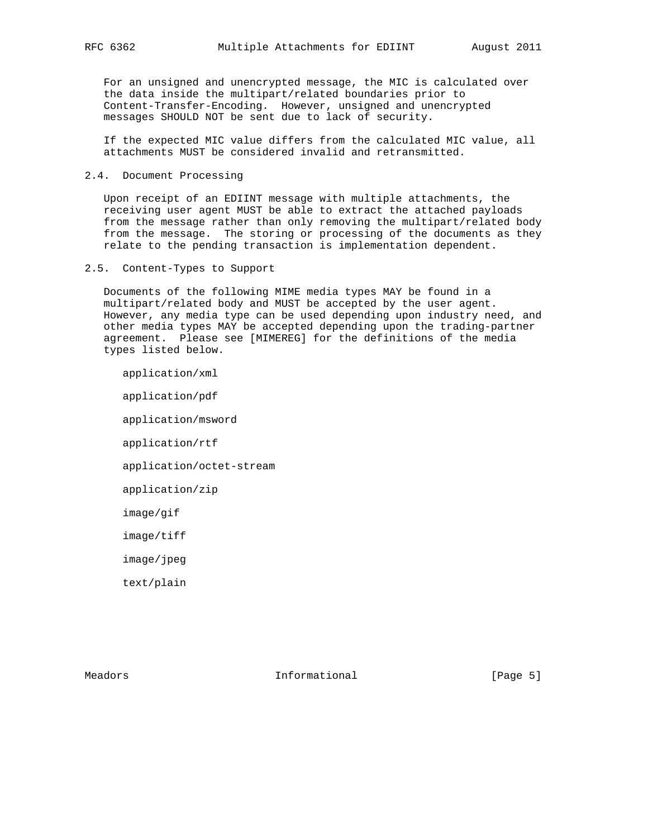For an unsigned and unencrypted message, the MIC is calculated over the data inside the multipart/related boundaries prior to Content-Transfer-Encoding. However, unsigned and unencrypted messages SHOULD NOT be sent due to lack of security.

 If the expected MIC value differs from the calculated MIC value, all attachments MUST be considered invalid and retransmitted.

### 2.4. Document Processing

 Upon receipt of an EDIINT message with multiple attachments, the receiving user agent MUST be able to extract the attached payloads from the message rather than only removing the multipart/related body from the message. The storing or processing of the documents as they relate to the pending transaction is implementation dependent.

### 2.5. Content-Types to Support

 Documents of the following MIME media types MAY be found in a multipart/related body and MUST be accepted by the user agent. However, any media type can be used depending upon industry need, and other media types MAY be accepted depending upon the trading-partner agreement. Please see [MIMEREG] for the definitions of the media types listed below.

 application/xml application/pdf application/msword application/rtf application/octet-stream application/zip image/gif image/tiff image/jpeg text/plain

Meadors **Informational Informational** [Page 5]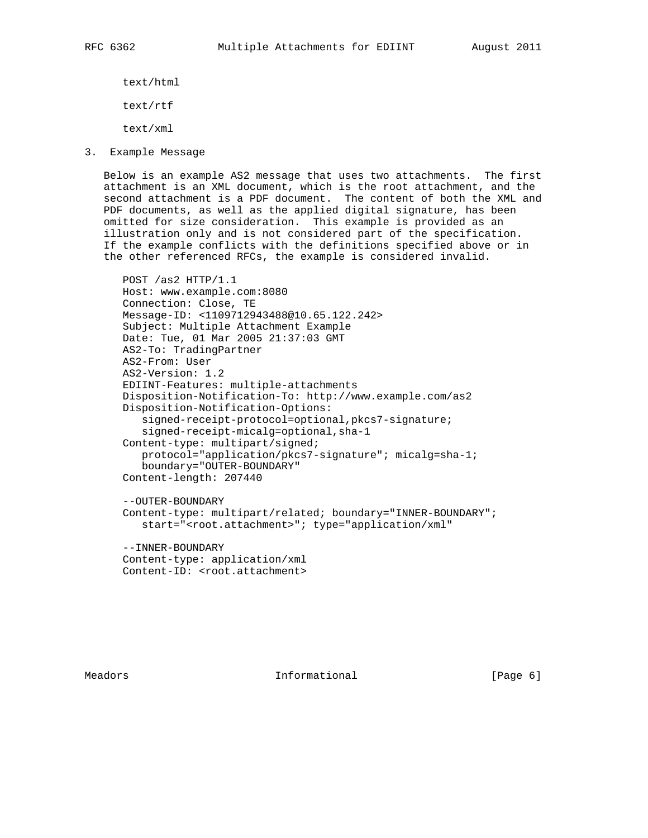text/html

text/rtf

text/xml

3. Example Message

 Below is an example AS2 message that uses two attachments. The first attachment is an XML document, which is the root attachment, and the second attachment is a PDF document. The content of both the XML and PDF documents, as well as the applied digital signature, has been omitted for size consideration. This example is provided as an illustration only and is not considered part of the specification. If the example conflicts with the definitions specified above or in the other referenced RFCs, the example is considered invalid.

```
 POST /as2 HTTP/1.1
Host: www.example.com:8080
Connection: Close, TE
Message-ID: <1109712943488@10.65.122.242>
Subject: Multiple Attachment Example
Date: Tue, 01 Mar 2005 21:37:03 GMT
AS2-To: TradingPartner
AS2-From: User
AS2-Version: 1.2
EDIINT-Features: multiple-attachments
Disposition-Notification-To: http://www.example.com/as2
Disposition-Notification-Options:
   signed-receipt-protocol=optional,pkcs7-signature;
   signed-receipt-micalg=optional,sha-1
Content-type: multipart/signed;
   protocol="application/pkcs7-signature"; micalg=sha-1;
   boundary="OUTER-BOUNDARY"
Content-length: 207440
--OUTER-BOUNDARY
```
 Content-type: multipart/related; boundary="INNER-BOUNDARY"; start="<root.attachment>"; type="application/xml"

 --INNER-BOUNDARY Content-type: application/xml Content-ID: <root.attachment>

Meadors **Informational Informational Example 1** [Page 6]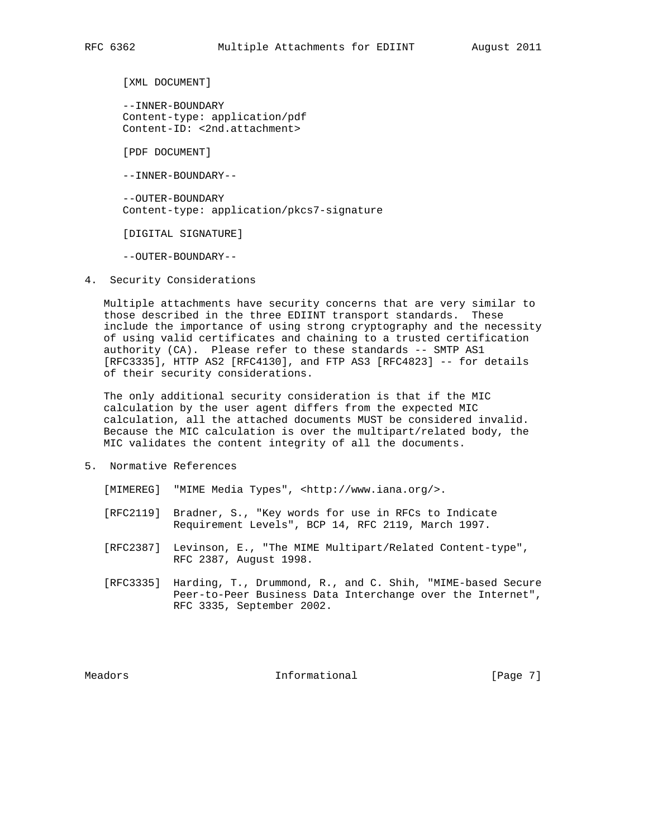[XML DOCUMENT]

 --INNER-BOUNDARY Content-type: application/pdf Content-ID: <2nd.attachment>

[PDF DOCUMENT]

--INNER-BOUNDARY--

 --OUTER-BOUNDARY Content-type: application/pkcs7-signature

[DIGITAL SIGNATURE]

--OUTER-BOUNDARY--

4. Security Considerations

 Multiple attachments have security concerns that are very similar to those described in the three EDIINT transport standards. These include the importance of using strong cryptography and the necessity of using valid certificates and chaining to a trusted certification authority (CA). Please refer to these standards -- SMTP AS1 [RFC3335], HTTP AS2 [RFC4130], and FTP AS3 [RFC4823] -- for details of their security considerations.

 The only additional security consideration is that if the MIC calculation by the user agent differs from the expected MIC calculation, all the attached documents MUST be considered invalid. Because the MIC calculation is over the multipart/related body, the MIC validates the content integrity of all the documents.

5. Normative References

[MIMEREG] "MIME Media Types", <http://www.iana.org/>.

- [RFC2119] Bradner, S., "Key words for use in RFCs to Indicate Requirement Levels", BCP 14, RFC 2119, March 1997.
- [RFC2387] Levinson, E., "The MIME Multipart/Related Content-type", RFC 2387, August 1998.
- [RFC3335] Harding, T., Drummond, R., and C. Shih, "MIME-based Secure Peer-to-Peer Business Data Interchange over the Internet", RFC 3335, September 2002.

Meadors **Informational Informational** [Page 7]